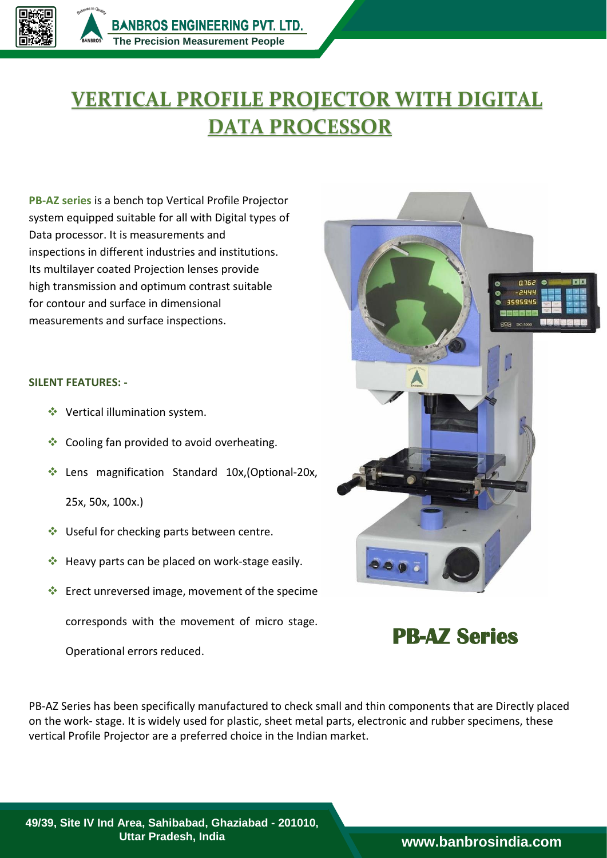## **VERTICAL PROFILE PROJECTOR WITH DIGITAL DATA PROCESSOR**

**PB‐AZ series** is a bench top Vertical Profile Projector system equipped suitable for all with Digital types of Data processor. It is measurements and inspections in different industries and institutions. Its multilayer coated Projection lenses provide high transmission and optimum contrast suitable for contour and surface in dimensional measurements and surface inspections.

## **SILENT FEATURES: -**

- ◆ Vertical illumination system.
- Cooling fan provided to avoid overheating.
- ◆ Lens magnification Standard 10x, (Optional-20x,
	- 25x, 50x, 100x.)
- ◆ Useful for checking parts between centre.
- ◆ Heavy parts can be placed on work-stage easily.
- Erect unreversed image, movement of the specime corresponds with the movement of micro stage.

Operational errors reduced.

 $Q162$ **DID** 244 3595945

**PB-AZ Series**

PB‐AZ Series has been specifically manufactured to check small and thin components that are Directly placed on the work‐ stage. It is widely used for plastic, sheet metal parts, electronic and rubber specimens, these vertical Profile Projector are a preferred choice in the Indian market.